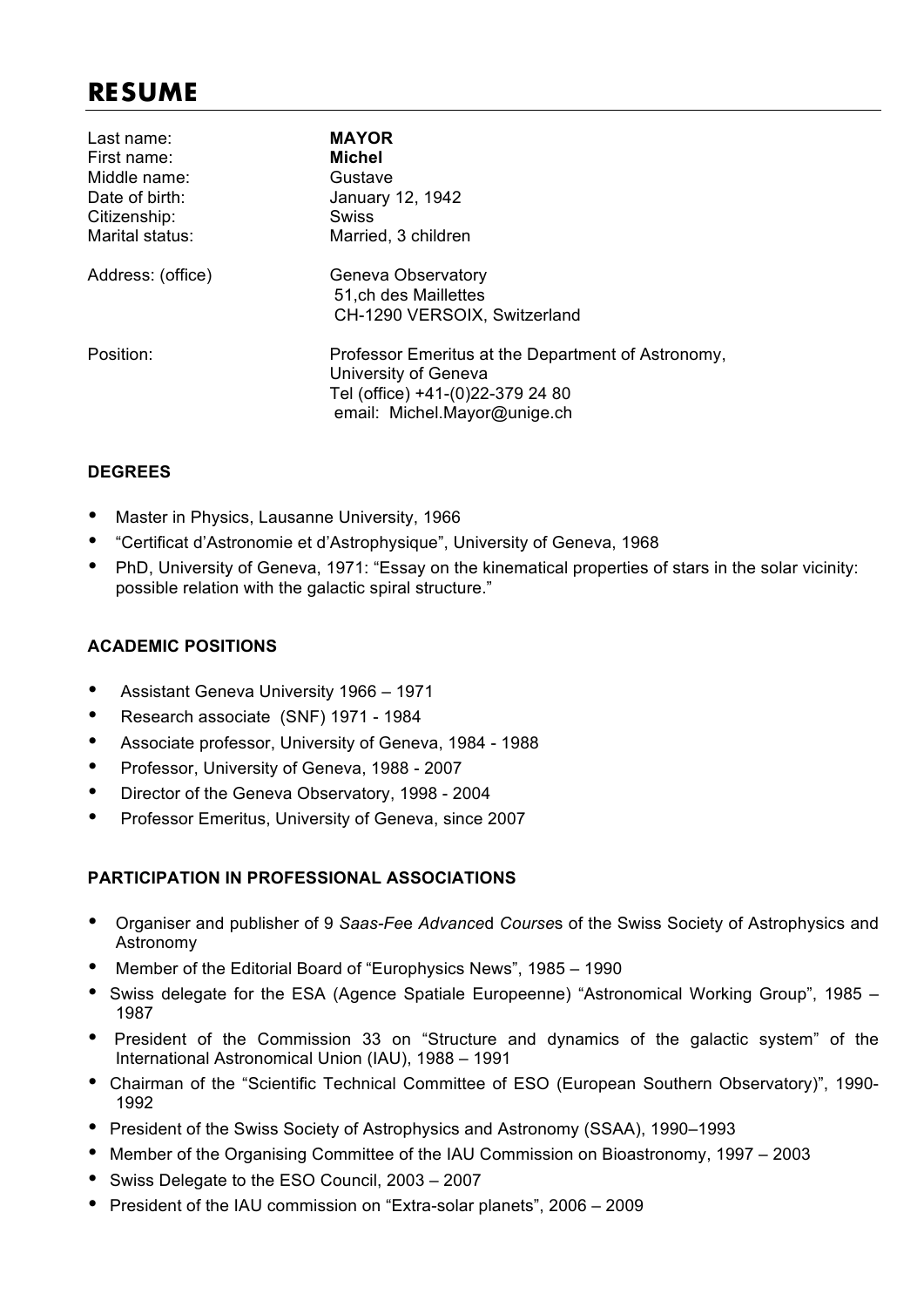# **RESUME**

| Last name:        | <b>MAYOR</b>                                       |
|-------------------|----------------------------------------------------|
| First name:       | Michel                                             |
| Middle name:      | Gustave                                            |
| Date of birth:    | January 12, 1942                                   |
| Citizenship:      | Swiss                                              |
| Marital status:   | Married, 3 children                                |
| Address: (office) | Geneva Observatory                                 |
|                   | 51, ch des Maillettes                              |
|                   | CH-1290 VERSOIX, Switzerland                       |
| Position:         | Professor Emeritus at the Department of Astronomy, |
|                   | University of Geneva                               |
|                   | Tel (office) +41-(0)22-379 24 80                   |
|                   | email: Michel.Mayor@unige.ch                       |
|                   |                                                    |

#### **DEGREES**

- Master in Physics, Lausanne University, 1966
- "Certificat d'Astronomie et d'Astrophysique", University of Geneva, 1968
- PhD, University of Geneva, 1971: "Essay on the kinematical properties of stars in the solar vicinity: possible relation with the galactic spiral structure."

#### **ACADEMIC POSITIONS**

- Assistant Geneva University 1966 1971
- Research associate (SNF) 1971 1984
- Associate professor, University of Geneva, 1984 1988
- Professor, University of Geneva, 1988 2007
- Director of the Geneva Observatory, 1998 2004
- Professor Emeritus, University of Geneva, since 2007

#### **PARTICIPATION IN PROFESSIONAL ASSOCIATIONS**

- Organiser and publisher of 9 *Saas-Fe*e *Advance*d *Course*s of the Swiss Society of Astrophysics and Astronomy
- Member of the Editorial Board of "Europhysics News", 1985 1990
- Swiss delegate for the ESA (Agence Spatiale Europeenne) "Astronomical Working Group", 1985 1987
- President of the Commission 33 on "Structure and dynamics of the galactic system" of the International Astronomical Union (IAU), 1988 – 1991
- Chairman of the "Scientific Technical Committee of ESO (European Southern Observatory)", 1990- 1992
- President of the Swiss Society of Astrophysics and Astronomy (SSAA), 1990–1993
- Member of the Organising Committee of the IAU Commission on Bioastronomy, 1997 2003
- Swiss Delegate to the ESO Council, 2003 2007
- President of the IAU commission on "Extra-solar planets", 2006 2009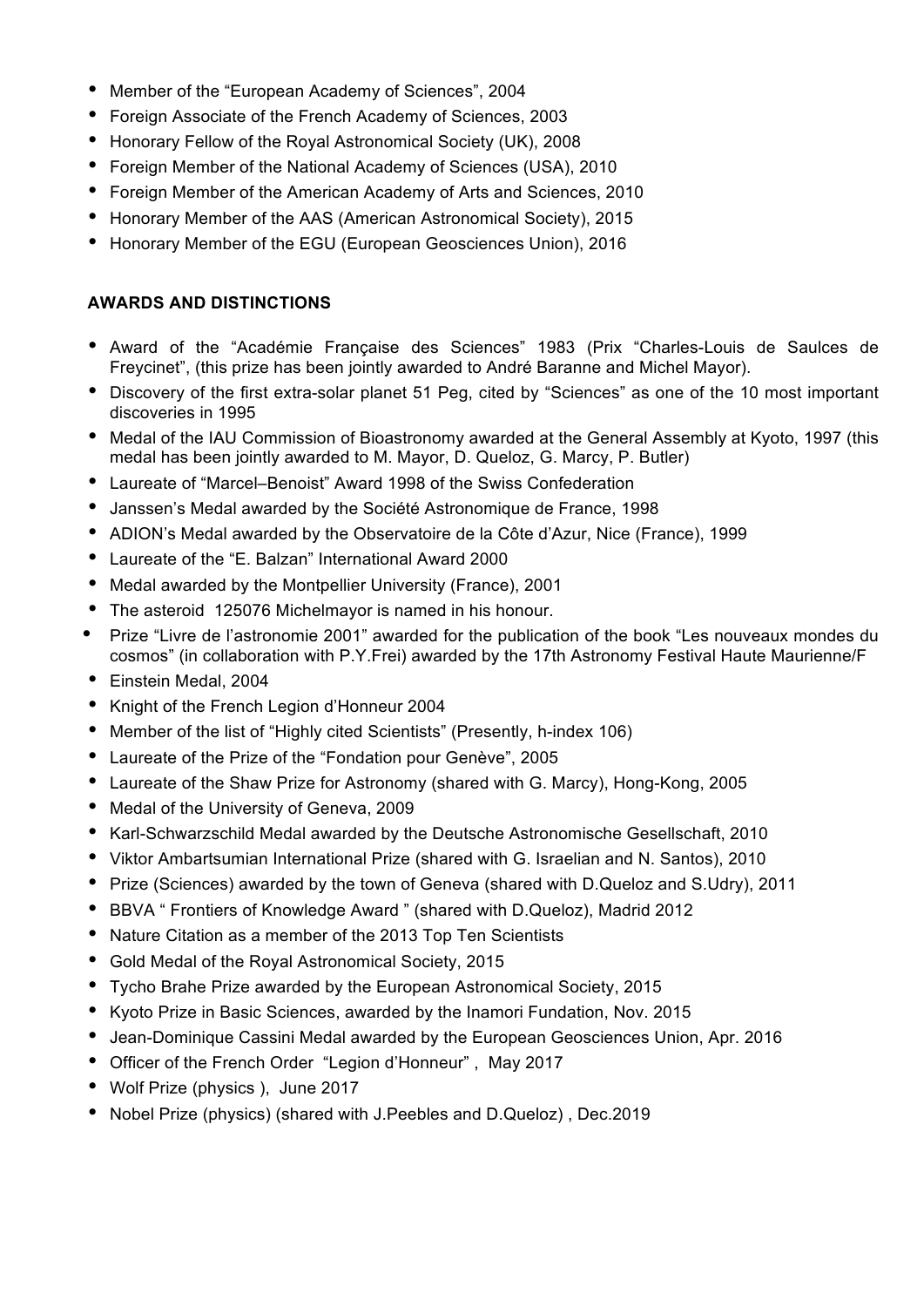- Member of the "European Academy of Sciences", 2004
- Foreign Associate of the French Academy of Sciences, 2003
- Honorary Fellow of the Royal Astronomical Society (UK), 2008
- Foreign Member of the National Academy of Sciences (USA), 2010
- Foreign Member of the American Academy of Arts and Sciences, 2010
- Honorary Member of the AAS (American Astronomical Society), 2015
- Honorary Member of the EGU (European Geosciences Union), 2016

#### **AWARDS AND DISTINCTIONS**

- Award of the "Académie Française des Sciences" 1983 (Prix "Charles-Louis de Saulces de Freycinet", (this prize has been jointly awarded to André Baranne and Michel Mayor).
- Discovery of the first extra-solar planet 51 Peg, cited by "Sciences" as one of the 10 most important discoveries in 1995
- Medal of the IAU Commission of Bioastronomy awarded at the General Assembly at Kyoto, 1997 (this medal has been jointly awarded to M. Mayor, D. Queloz, G. Marcy, P. Butler)
- Laureate of "Marcel–Benoist" Award 1998 of the Swiss Confederation
- Janssen's Medal awarded by the Société Astronomique de France, 1998
- ADION's Medal awarded by the Observatoire de la Côte d'Azur, Nice (France), 1999
- Laureate of the "E. Balzan" International Award 2000
- Medal awarded by the Montpellier University (France), 2001
- The asteroid 125076 Michelmayor is named in his honour.
- Prize "Livre de l'astronomie 2001" awarded for the publication of the book "Les nouveaux mondes du cosmos" (in collaboration with P.Y.Frei) awarded by the 17th Astronomy Festival Haute Maurienne/F
- Einstein Medal, 2004
- Knight of the French Legion d'Honneur 2004
- Member of the list of "Highly cited Scientists" (Presently, h-index 106)
- Laureate of the Prize of the "Fondation pour Genève", 2005
- Laureate of the Shaw Prize for Astronomy (shared with G. Marcy), Hong-Kong, 2005
- Medal of the University of Geneva, 2009
- Karl-Schwarzschild Medal awarded by the Deutsche Astronomische Gesellschaft, 2010
- Viktor Ambartsumian International Prize (shared with G. Israelian and N. Santos), 2010
- Prize (Sciences) awarded by the town of Geneva (shared with D.Queloz and S.Udry), 2011
- BBVA " Frontiers of Knowledge Award " (shared with D.Queloz), Madrid 2012
- Nature Citation as a member of the 2013 Top Ten Scientists
- Gold Medal of the Royal Astronomical Society, 2015
- Tycho Brahe Prize awarded by the European Astronomical Society, 2015
- Kyoto Prize in Basic Sciences, awarded by the Inamori Fundation, Nov. 2015
- Jean-Dominique Cassini Medal awarded by the European Geosciences Union, Apr. 2016
- Officer of the French Order "Legion d'Honneur" , May 2017
- Wolf Prize (physics ), June 2017
- Nobel Prize (physics) (shared with J.Peebles and D.Queloz) , Dec.2019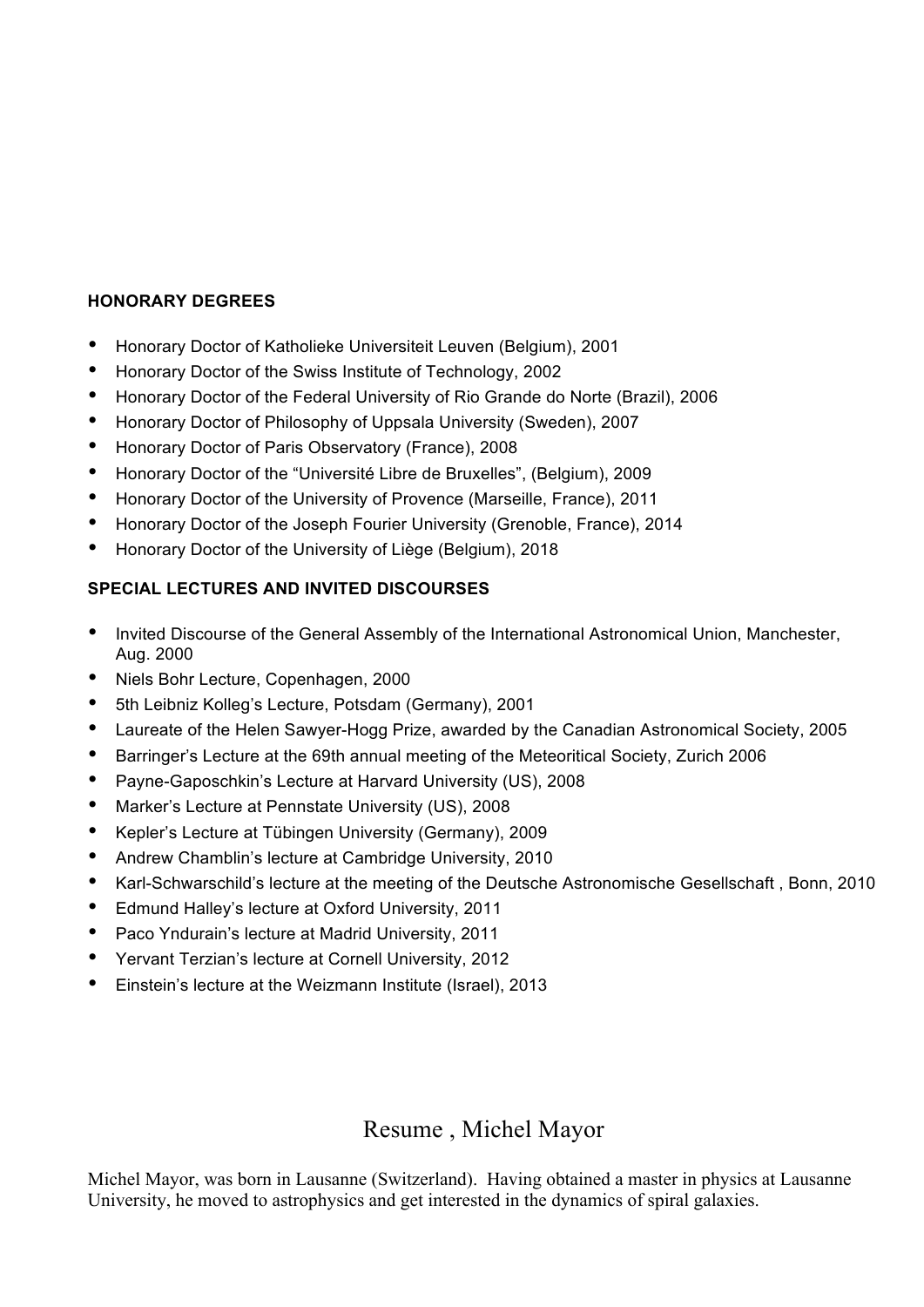#### **HONORARY DEGREES**

- Honorary Doctor of Katholieke Universiteit Leuven (Belgium), 2001
- Honorary Doctor of the Swiss Institute of Technology, 2002
- Honorary Doctor of the Federal University of Rio Grande do Norte (Brazil), 2006
- Honorary Doctor of Philosophy of Uppsala University (Sweden), 2007
- Honorary Doctor of Paris Observatory (France), 2008
- Honorary Doctor of the "Université Libre de Bruxelles", (Belgium), 2009
- Honorary Doctor of the University of Provence (Marseille, France), 2011
- Honorary Doctor of the Joseph Fourier University (Grenoble, France), 2014
- Honorary Doctor of the University of Liège (Belgium), 2018

### **SPECIAL LECTURES AND INVITED DISCOURSES**

- Invited Discourse of the General Assembly of the International Astronomical Union, Manchester, Aug. 2000
- Niels Bohr Lecture, Copenhagen, 2000
- 5th Leibniz Kolleg's Lecture, Potsdam (Germany), 2001
- Laureate of the Helen Sawyer-Hogg Prize, awarded by the Canadian Astronomical Society, 2005
- Barringer's Lecture at the 69th annual meeting of the Meteoritical Society, Zurich 2006
- Payne-Gaposchkin's Lecture at Harvard University (US), 2008
- Marker's Lecture at Pennstate University (US), 2008
- Kepler's Lecture at Tübingen University (Germany), 2009
- Andrew Chamblin's lecture at Cambridge University, 2010
- Karl-Schwarschild's lecture at the meeting of the Deutsche Astronomische Gesellschaft , Bonn, 2010
- Edmund Halley's lecture at Oxford University, 2011
- Paco Yndurain's lecture at Madrid University, 2011
- Yervant Terzian's lecture at Cornell University, 2012
- Einstein's lecture at the Weizmann Institute (Israel), 2013

## Resume , Michel Mayor

Michel Mayor, was born in Lausanne (Switzerland). Having obtained a master in physics at Lausanne University, he moved to astrophysics and get interested in the dynamics of spiral galaxies.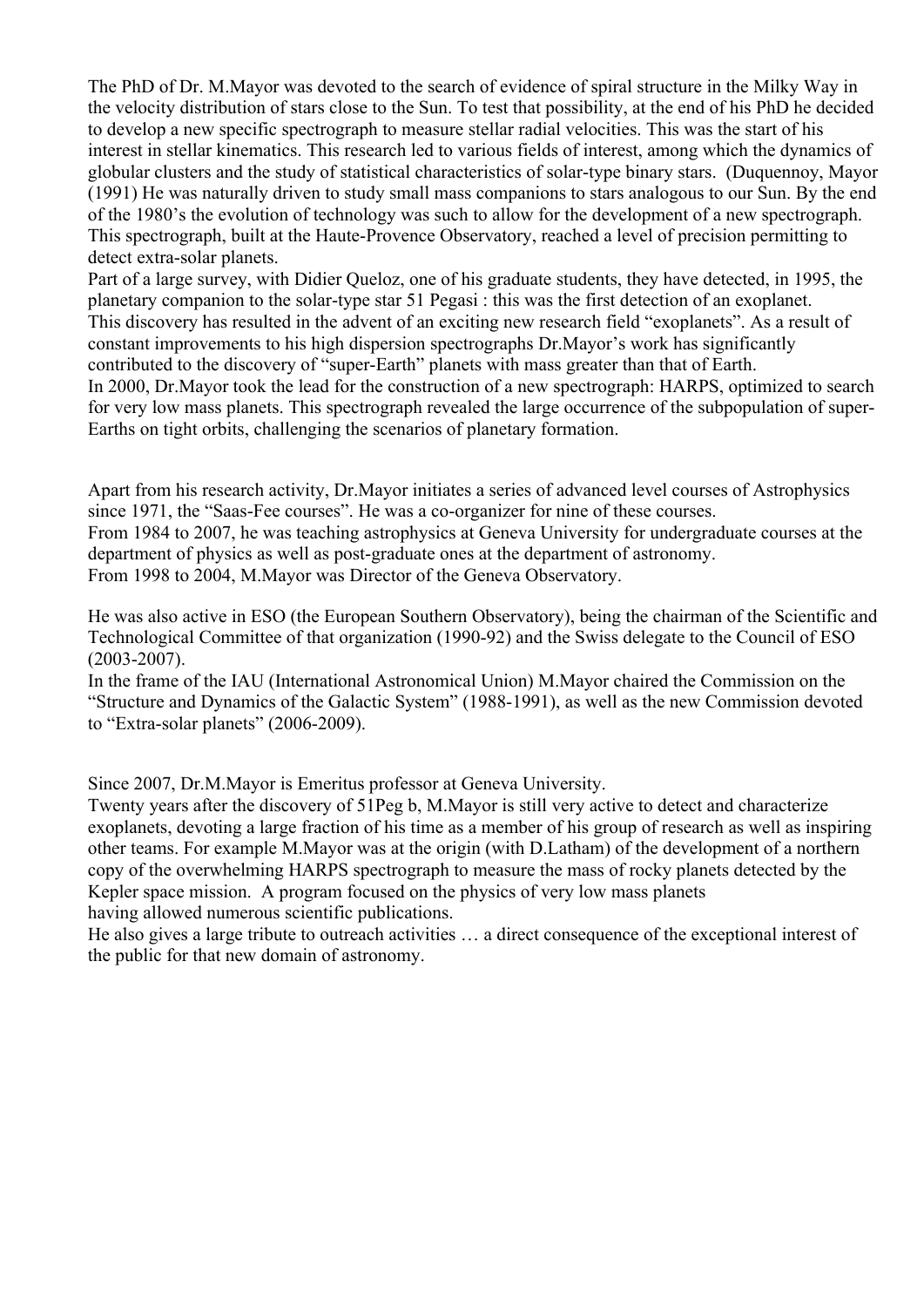The PhD of Dr. M.Mayor was devoted to the search of evidence of spiral structure in the Milky Way in the velocity distribution of stars close to the Sun. To test that possibility, at the end of his PhD he decided to develop a new specific spectrograph to measure stellar radial velocities. This was the start of his interest in stellar kinematics. This research led to various fields of interest, among which the dynamics of globular clusters and the study of statistical characteristics of solar-type binary stars. (Duquennoy, Mayor (1991) He was naturally driven to study small mass companions to stars analogous to our Sun. By the end of the 1980's the evolution of technology was such to allow for the development of a new spectrograph. This spectrograph, built at the Haute-Provence Observatory, reached a level of precision permitting to detect extra-solar planets.

Part of a large survey, with Didier Queloz, one of his graduate students, they have detected, in 1995, the planetary companion to the solar-type star 51 Pegasi : this was the first detection of an exoplanet. This discovery has resulted in the advent of an exciting new research field "exoplanets". As a result of constant improvements to his high dispersion spectrographs Dr.Mayor's work has significantly contributed to the discovery of "super-Earth" planets with mass greater than that of Earth. In 2000, Dr.Mayor took the lead for the construction of a new spectrograph: HARPS, optimized to search for very low mass planets. This spectrograph revealed the large occurrence of the subpopulation of super-Earths on tight orbits, challenging the scenarios of planetary formation.

Apart from his research activity, Dr.Mayor initiates a series of advanced level courses of Astrophysics since 1971, the "Saas-Fee courses". He was a co-organizer for nine of these courses.

From 1984 to 2007, he was teaching astrophysics at Geneva University for undergraduate courses at the department of physics as well as post-graduate ones at the department of astronomy. From 1998 to 2004, M.Mayor was Director of the Geneva Observatory.

He was also active in ESO (the European Southern Observatory), being the chairman of the Scientific and Technological Committee of that organization (1990-92) and the Swiss delegate to the Council of ESO (2003-2007).

In the frame of the IAU (International Astronomical Union) M.Mayor chaired the Commission on the "Structure and Dynamics of the Galactic System" (1988-1991), as well as the new Commission devoted to "Extra-solar planets" (2006-2009).

Since 2007, Dr.M.Mayor is Emeritus professor at Geneva University.

Twenty years after the discovery of 51Peg b, M.Mayor is still very active to detect and characterize exoplanets, devoting a large fraction of his time as a member of his group of research as well as inspiring other teams. For example M.Mayor was at the origin (with D.Latham) of the development of a northern copy of the overwhelming HARPS spectrograph to measure the mass of rocky planets detected by the Kepler space mission. A program focused on the physics of very low mass planets having allowed numerous scientific publications.

He also gives a large tribute to outreach activities … a direct consequence of the exceptional interest of the public for that new domain of astronomy.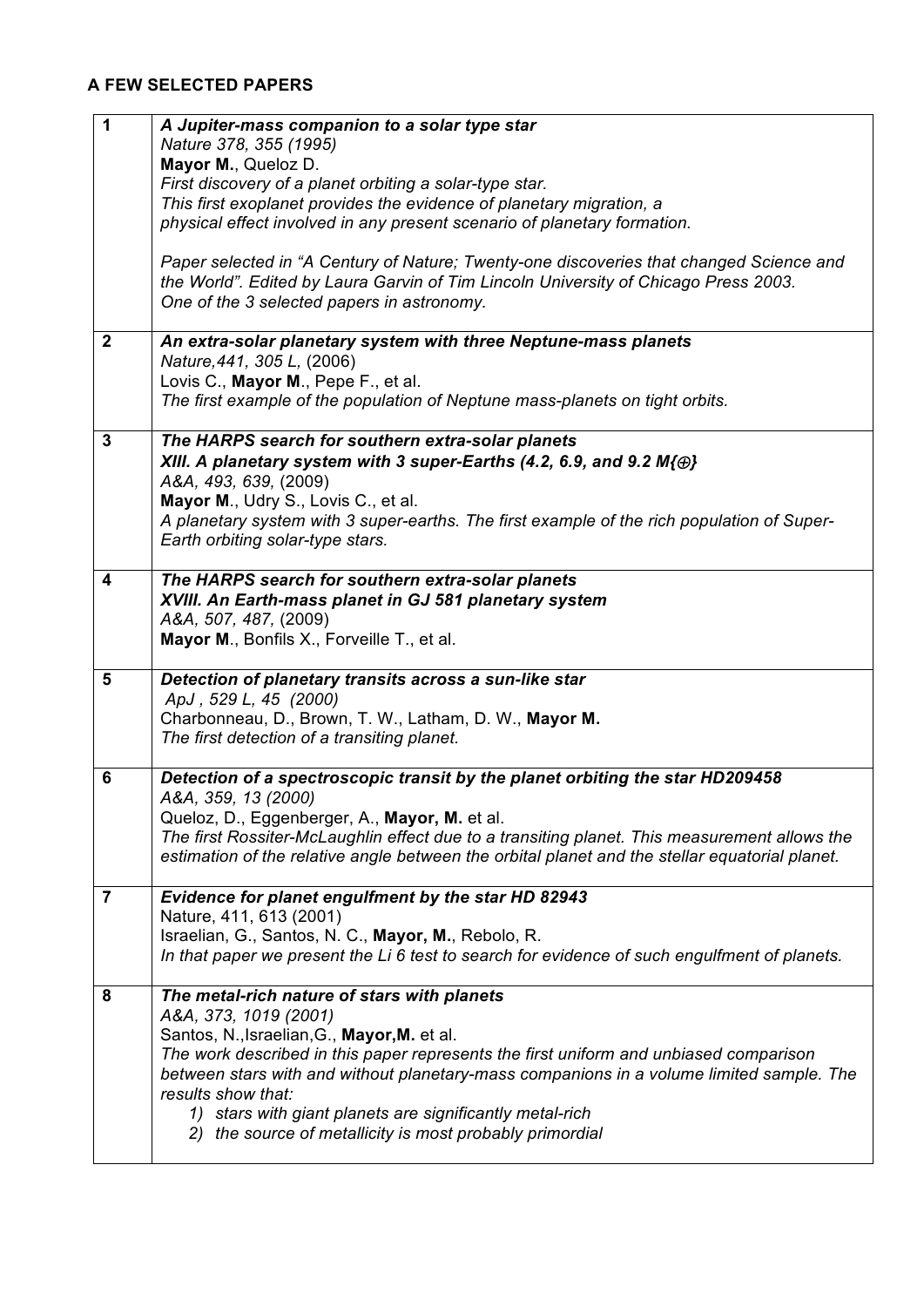### **A FEW SELECTED PAPERS**

| 1              | A Jupiter-mass companion to a solar type star                                                                                                                                     |
|----------------|-----------------------------------------------------------------------------------------------------------------------------------------------------------------------------------|
|                | Nature 378, 355 (1995)<br>Mayor M., Queloz D.                                                                                                                                     |
|                | First discovery of a planet orbiting a solar-type star.                                                                                                                           |
|                | This first exoplanet provides the evidence of planetary migration, a                                                                                                              |
|                | physical effect involved in any present scenario of planetary formation.                                                                                                          |
|                | Paper selected in "A Century of Nature; Twenty-one discoveries that changed Science and                                                                                           |
|                | the World". Edited by Laura Garvin of Tim Lincoln University of Chicago Press 2003.                                                                                               |
|                | One of the 3 selected papers in astronomy.                                                                                                                                        |
| $\mathbf{2}$   | An extra-solar planetary system with three Neptune-mass planets                                                                                                                   |
|                | Nature, 441, 305 L, (2006)                                                                                                                                                        |
|                | Lovis C., Mayor M., Pepe F., et al.                                                                                                                                               |
|                | The first example of the population of Neptune mass-planets on tight orbits.                                                                                                      |
| 3              | The HARPS search for southern extra-solar planets                                                                                                                                 |
|                | XIII. A planetary system with 3 super-Earths (4.2, 6.9, and 9.2 $M(\oplus)$<br>A&A, 493, 639, (2009)                                                                              |
|                | Mayor M., Udry S., Lovis C., et al.                                                                                                                                               |
|                | A planetary system with 3 super-earths. The first example of the rich population of Super-                                                                                        |
|                | Earth orbiting solar-type stars.                                                                                                                                                  |
| 4              | The HARPS search for southern extra-solar planets                                                                                                                                 |
|                | XVIII. An Earth-mass planet in GJ 581 planetary system                                                                                                                            |
|                | A&A, 507, 487, (2009)                                                                                                                                                             |
|                | Mayor M., Bonfils X., Forveille T., et al.                                                                                                                                        |
| 5              | Detection of planetary transits across a sun-like star                                                                                                                            |
|                | ApJ, 529 L, 45 (2000)                                                                                                                                                             |
|                | Charbonneau, D., Brown, T. W., Latham, D. W., Mayor M.<br>The first detection of a transiting planet.                                                                             |
|                |                                                                                                                                                                                   |
| 6              | Detection of a spectroscopic transit by the planet orbiting the star HD209458                                                                                                     |
|                | A&A, 359, 13 (2000)<br>Queloz, D., Eggenberger, A., Mayor, M. et al.                                                                                                              |
|                | The first Rossiter-McLaughlin effect due to a transiting planet. This measurement allows the                                                                                      |
|                | estimation of the relative angle between the orbital planet and the stellar equatorial planet.                                                                                    |
| $\overline{7}$ | Evidence for planet engulfment by the star HD 82943                                                                                                                               |
|                | Nature, 411, 613 (2001)                                                                                                                                                           |
|                | Israelian, G., Santos, N. C., Mayor, M., Rebolo, R.                                                                                                                               |
|                | In that paper we present the Li 6 test to search for evidence of such engulfment of planets.                                                                                      |
| 8              | The metal-rich nature of stars with planets                                                                                                                                       |
|                | A&A, 373, 1019 (2001)                                                                                                                                                             |
|                | Santos, N., Israelian, G., Mayor, M. et al.                                                                                                                                       |
|                | The work described in this paper represents the first uniform and unbiased comparison<br>between stars with and without planetary-mass companions in a volume limited sample. The |
|                | results show that:                                                                                                                                                                |
|                | 1) stars with giant planets are significantly metal-rich                                                                                                                          |
|                | 2) the source of metallicity is most probably primordial                                                                                                                          |
|                |                                                                                                                                                                                   |